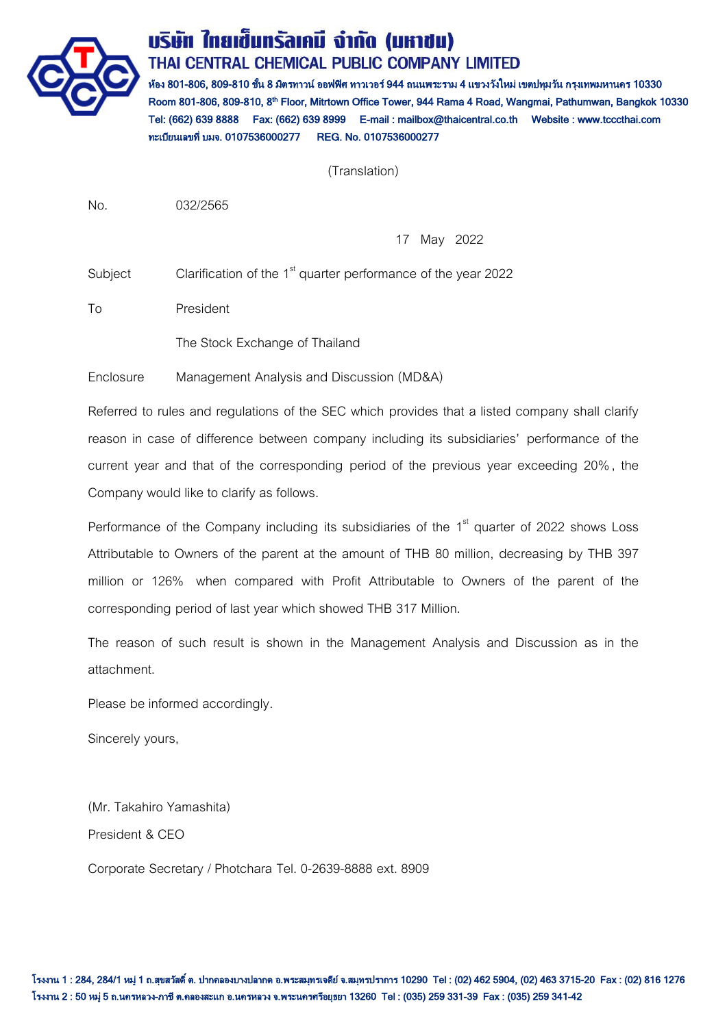

# บริษัท ใทยเข็นทรัลเคมี จำกัด (มหาชน) THAI CENTRAL CHEMICAL PUBLIC COMPANY LIMITED

ห้อง 801-806, 809-810 ชั้น 8 มิตรทาวน์ ออฟฟิศ ทาวเวอร์ 944 ถนนพระราม 4 แขวงวังใหม่ เขตปทุมวัน กรุงเทพมหานคร 10330 Room 801-806, 809-810, 8<sup>th</sup> Floor, Mitrtown Office Tower, 944 Rama 4 Road, Wangmai, Pathumwan, Bangkok 10330 Tel: (662) 639 8888 Fax: (662) 639 8999 E-mail : mailbox@thaicentral.co.th Website : www.tcccthai.com ทะเบียนเลขที่ บมจ. 0107536000277 REG. No. 0107536000277

(Translation)

No. 032/2565

17 May 2022

Subject Clarification of the 1<sup>st</sup> quarter performance of the year 2022

To President

The Stock Exchange of Thailand

Enclosure Management Analysis and Discussion (MD&A)

Referred to rules and regulations of the SEC which provides that a listed company shall clarify reason in case of difference between company including its subsidiaries' performance of the current year and that of the corresponding period of the previous year exceeding 20%, the Company would like to clarify as follows.

Performance of the Company including its subsidiaries of the 1<sup>st</sup> quarter of 2022 shows Loss Attributable to Owners of the parent at the amount of THB 80 million, decreasing by THB 397 million or 126% when compared with Profit Attributable to Owners of the parent of the corresponding period of last year which showed THB 317 Million.

The reason of such result is shown in the Management Analysis and Discussion as in the attachment.

Please be informed accordingly.

Sincerely yours,

(Mr. Takahiro Yamashita) President & CEO

Corporate Secretary / Photchara Tel. 0-2639-8888 ext. 8909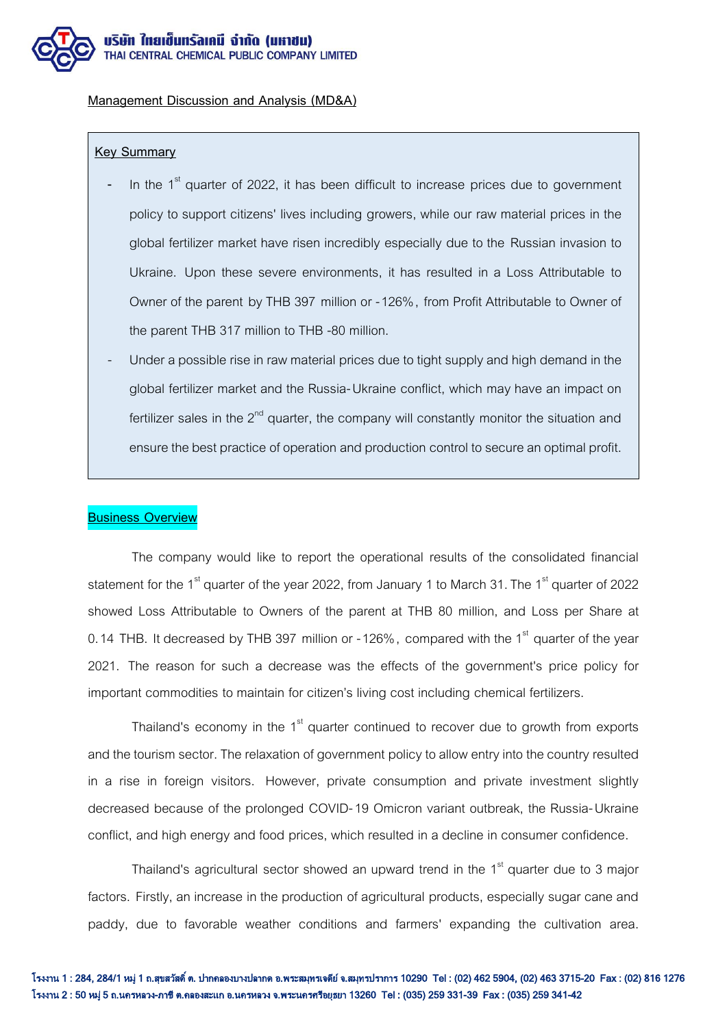

#### **Management Discussion and Analysis (MD&A)**

#### **Key Summary**

- In the 1<sup>st</sup> quarter of 2022, it has been difficult to increase prices due to government policy to support citizens' lives including growers, while our raw material prices in the global fertilizer market have risen incredibly especially due to the Russian invasion to Ukraine. Upon these severe environments, it has resulted in a Loss Attributable to Owner of the parent by THB 397 million or -126%, from Profit Attributable to Owner of the parent THB 317 million to THB -80 million.
- Under a possible rise in raw material prices due to tight supply and high demand in the global fertilizer market and the Russia-Ukraine conflict, which may have an impact on fertilizer sales in the  $2<sup>nd</sup>$  quarter, the company will constantly monitor the situation and ensure the best practice of operation and production control to securean optimal profit.

### **Business Overview**

The company would like to report the operational results of the consolidated financial statement for the 1<sup>st</sup> quarter of the year 2022, from January 1 to March 31. The 1<sup>st</sup> quarter of 2022 showed Loss Attributable to Owners of the parent at THB 80 million, and Loss per Share at 0.14 THB. It decreased by THB 397 million or -126%, compared with the 1<sup>st</sup> quarter of the year 2021. The reason for such a decrease was the effects of the government's price policy for important commodities to maintain for citizen's living cost including chemical fertilizers.

Thailand's economy in the  $1<sup>st</sup>$  quarter continued to recover due to growth from exports and the tourism sector. The relaxation of government policy to allow entry into the country resulted in a rise in foreign visitors. However, private consumption and private investment slightly decreased because of the prolonged COVID-19 Omicron variant outbreak, the Russia-Ukraine conflict, and high energy and food prices, which resulted in a decline in consumer confidence.

Thailand's agricultural sector showed an upward trend in the  $1<sup>st</sup>$  quarter due to 3 major factors. Firstly, an increase in the production of agricultural products, especially sugar cane and paddy, due to favorable weather conditions and farmers' expanding the cultivation area.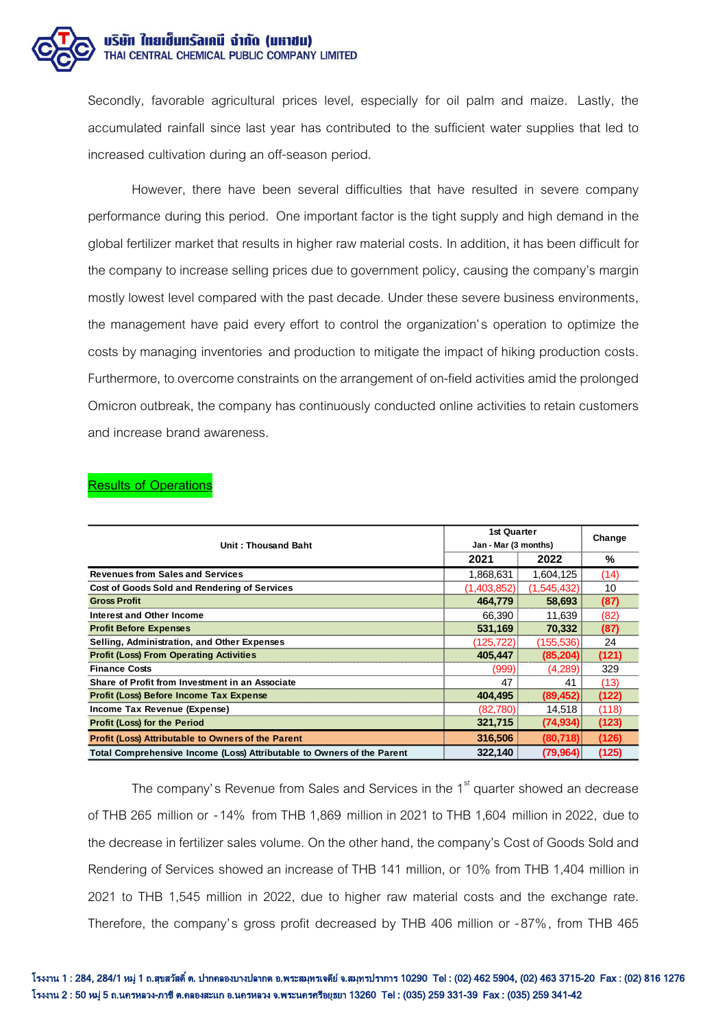

Secondly, favorable agricultural prices level, especially for oil palm and maize. Lastly, the accumulated rainfall since last year has contributed to the sufficient water supplies that led to increased cultivation during an off-season period.

However, there have been several difficulties that have resulted in severe company performance during this period. One important factor is the tight supply and high demand in the global fertilizer market that results in higher raw material costs. In addition, it has been difficult for the company to increase selling prices due to government policy, causing the company's margin mostly lowest level compared with the past decade. Under these severe business environments, the management have paid every effort to control the organization's operation to optimize the costs by managing inventories and production to mitigate the impact of hiking production costs. Furthermore, to overcome constraints on the arrangement of on-field activities amid the prolonged Omicron outbreak, the company has continuously conducted online activities to retain customers and increase brand awareness.

| Unit: Thousand Baht                                                    | 1st Quarter<br>Jan - Mar (3 months) |             | Change |
|------------------------------------------------------------------------|-------------------------------------|-------------|--------|
|                                                                        | 2021                                | 2022        | %      |
| <b>Revenues from Sales and Services</b>                                | 1,868,631                           | 1,604,125   | (14)   |
| Cost of Goods Sold and Rendering of Services                           | (1,403,852)                         | (1,545,432) | 10     |
| <b>Gross Profit</b>                                                    | 464,779                             | 58,693      | (87)   |
| Interest and Other Income                                              | 66.390                              | 11.639      | (82)   |
| <b>Profit Before Expenses</b>                                          | 531,169                             | 70,332      | (87)   |
| Selling, Administration, and Other Expenses                            | (125,722)                           | (155, 536)  | 24     |
| <b>Profit (Loss) From Operating Activities</b>                         | 405.447                             | (85, 204)   | (121)  |
| <b>Finance Costs</b>                                                   | (999)                               | (4.289)     | 329    |
| Share of Profit from Investment in an Associate                        | 47                                  | 41          | (13)   |
| Profit (Loss) Before Income Tax Expense                                | 404.495                             | (89, 452)   | (122)  |
| Income Tax Revenue (Expense)                                           | (82,780)                            | 14,518      | (118)  |
| <b>Profit (Loss) for the Period</b>                                    | 321,715                             | (74, 934)   | (123)  |
| Profit (Loss) Attributable to Owners of the Parent                     | 316,506                             | (80, 718)   | (126)  |
| Total Comprehensive Income (Loss) Attributable to Owners of the Parent | 322.140                             | (79, 964)   | (125)  |

## **Results of Operations**

The company's Revenue from Sales and Services in the  $1<sup>st</sup>$  quarter showed an decrease of THB 265 million or -14% from THB 1,869 million in 2021 to THB 1,604 million in 2022, due to the decrease in fertilizer sales volume. On the other hand, the company's Cost of Goods Sold and Rendering of Services showed an increase of THB 141 million, or 10% from THB 1,404 million in 2021 to THB 1,545 million in 2022, due to higher raw material costs and the exchange rate. Therefore, the company's gross profit decreased by THB 406 million or -87%, from THB 465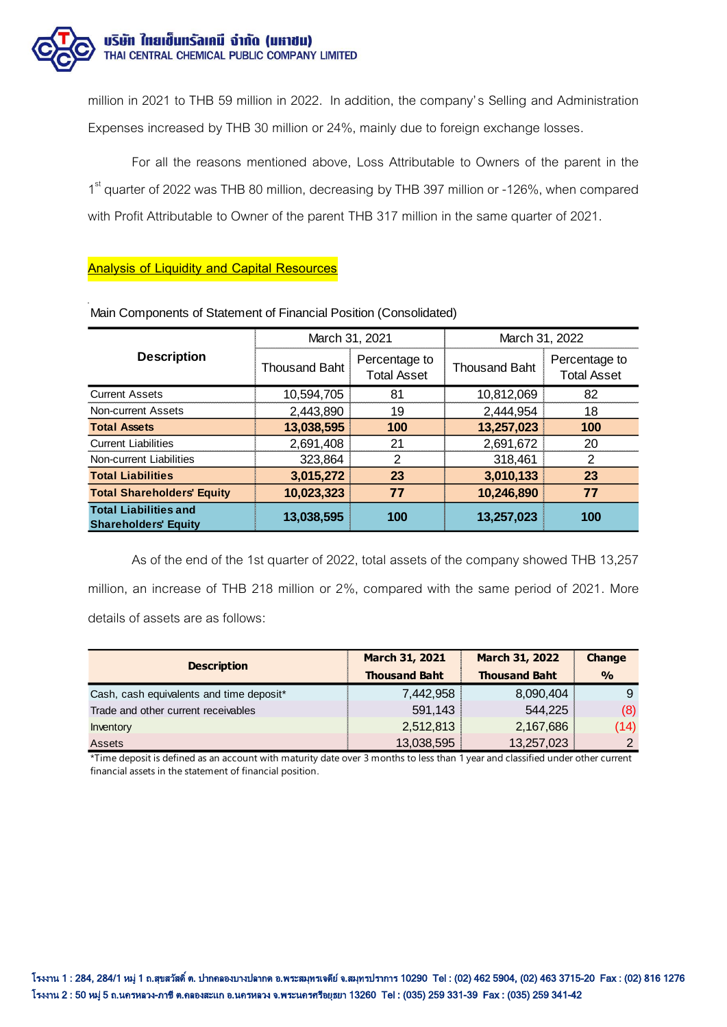

million in 2021 to THB 59 million in 2022. In addition, the company's Selling and Administration Expenses increased by THB 30 million or 24%, mainly due to foreign exchange losses.

For all the reasons mentioned above, Loss Attributable to Owners of the parent in the 1<sup>st</sup> quarter of 2022 was THB 80 million, decreasing by THB 397 million or -126%, when compared with Profit Attributable to Owner of the parent THB 317 million in the same quarter of 2021.

# **Analysis of Liquidity and Capital Resources**

|                                                             | March 31, 2021       |                                     | March 31, 2022       |                                     |
|-------------------------------------------------------------|----------------------|-------------------------------------|----------------------|-------------------------------------|
| <b>Description</b>                                          | <b>Thousand Baht</b> | Percentage to<br><b>Total Asset</b> | <b>Thousand Baht</b> | Percentage to<br><b>Total Asset</b> |
| <b>Current Assets</b>                                       | 10,594,705           | 81                                  | 10,812,069           | 82                                  |
| Non-current Assets                                          | 2,443,890            | 19                                  | 2,444,954            | 18                                  |
| <b>Total Assets</b>                                         | 13,038,595           | 100                                 | 13,257,023           | 100                                 |
| <b>Current Liabilities</b>                                  | 2,691,408            | 21                                  | 2,691,672            | 20                                  |
| Non-current Liabilities                                     | 323,864              | 2                                   | 318,461              | 2                                   |
| <b>Total Liabilities</b>                                    | 3,015,272            | 23                                  | 3,010,133            | 23                                  |
| <b>Total Shareholders' Equity</b>                           | 10,023,323           | 77                                  | 10,246,890           | 77                                  |
| <b>Total Liabilities and</b><br><b>Shareholders' Equity</b> | 13,038,595           | 100                                 | 13,257,023           | 100                                 |

Main Components of Statement of Financial Position (Consolidated)

As of the end of the 1st quarter of 2022, total assets of the company showed THB 13,257 million, an increase of THB 218 million or 2%, compared with the same period of 2021. More details of assets are as follows:

| <b>Description</b>                       | March 31, 2021       | March 31, 2022       | Change        |
|------------------------------------------|----------------------|----------------------|---------------|
|                                          | <b>Thousand Baht</b> | <b>Thousand Baht</b> | $\frac{0}{0}$ |
| Cash, cash equivalents and time deposit* | 7,442,958            | 8,090,404            |               |
| Trade and other current receivables      | 591,143              | 544,225              | (8)           |
| Inventory                                | 2,512,813            | 2,167,686            | (14)          |
| <b>Assets</b>                            | 13,038,595           | 13,257,023           | $\mathcal{D}$ |

\*Time deposit is defined as an account with maturity date over 3 months to less than 1 year and classified under other current financial assets in the statement of financial position.